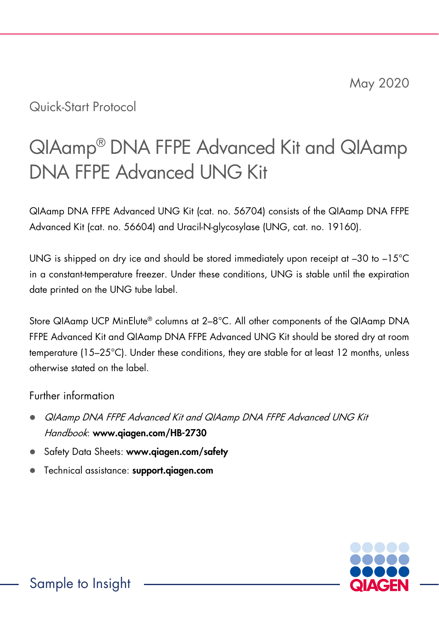## Quick-Start Protocol

# QIAamp® DNA FFPE Advanced Kit and QIAamp DNA FFPE Advanced UNG Kit

QIAamp DNA FFPE Advanced UNG Kit (cat. no. 56704) consists of the QIAamp DNA FFPE Advanced Kit (cat. no. 56604) and Uracil-N-glycosylase (UNG, cat. no. 19160).

UNG is shipped on dry ice and should be stored immediately upon receipt at –30 to –15°C in a constant-temperature freezer. Under these conditions, UNG is stable until the expiration date printed on the UNG tube label.

Store QIAamp UCP MinElute® columns at 2–8°C. All other components of the QIAamp DNA FFPE Advanced Kit and QIAamp DNA FFPE Advanced UNG Kit should be stored dry at room temperature (15–25°C). Under these conditions, they are stable for at least 12 months, unless otherwise stated on the label.

#### Further information

- QIAamp DNA FFPE Advanced Kit and QIAamp DNA FFPE Advanced UNG Kit Handbook: www.qiagen.com/HB-2730
- Safety Data Sheets: www.qiagen.com/safety
- Technical assistance: support.qiagen.com

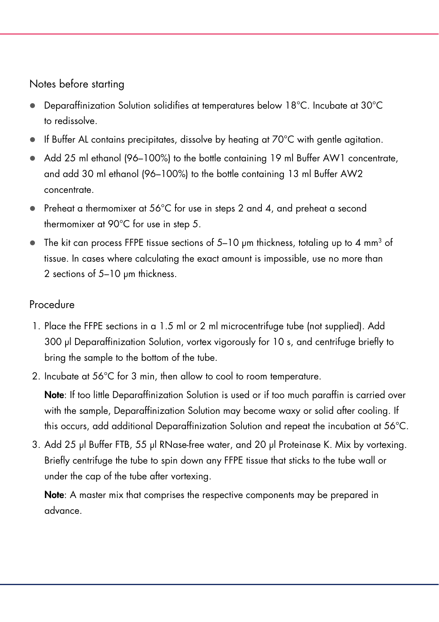#### Notes before starting

- Deparaffinization Solution solidifies at temperatures below 18°C. Incubate at 30°C to redissolve.
- $\bullet$  If Buffer AL contains precipitates, dissolve by heating at 70 $^{\circ}$ C with gentle agitation.
- Add 25 ml ethanol (96–100%) to the bottle containing 19 ml Buffer AW1 concentrate, and add 30 ml ethanol (96–100%) to the bottle containing 13 ml Buffer AW2 concentrate.
- Preheat a thermomixer at 56°C for use in steps 2 and 4, and preheat a second thermomixer at 90°C for use in step 5.
- $\bullet$  The kit can process FFPE tissue sections of 5–10 µm thickness, totaling up to 4 mm<sup>3</sup> of tissue. In cases where calculating the exact amount is impossible, use no more than 2 sections of 5-10 um thickness.

### Procedure

- 1. Place the FFPE sections in a 1.5 ml or 2 ml microcentrifuge tube (not supplied). Add 300 µl Deparaffinization Solution, vortex vigorously for 10 s, and centrifuge briefly to bring the sample to the bottom of the tube.
- 2. Incubate at 56°C for 3 min, then allow to cool to room temperature.

Note: If too little Deparaffinization Solution is used or if too much paraffin is carried over with the sample, Deparaffinization Solution may become waxy or solid after cooling. If this occurs, add additional Deparaffinization Solution and repeat the incubation at 56°C.

3. Add 25 µl Buffer FTB, 55 µl RNase-free water, and 20 µl Proteinase K. Mix by vortexing. Briefly centrifuge the tube to spin down any FFPE tissue that sticks to the tube wall or under the cap of the tube after vortexing.

Note: A master mix that comprises the respective components may be prepared in advance.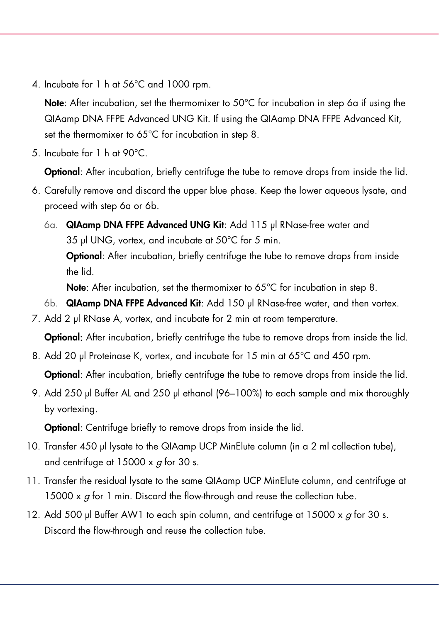4. Incubate for 1 h at 56°C and 1000 rpm.

**Note:** After incubation, set the thermomixer to  $50^{\circ}$ C for incubation in step 6a if using the QIAamp DNA FFPE Advanced UNG Kit. If using the QIAamp DNA FFPE Advanced Kit, set the thermomixer to 65°C for incubation in step 8.

5. Incubate for 1 h at 90°C.

**Optional:** After incubation, briefly centrifuge the tube to remove drops from inside the lid.

- 6. Carefully remove and discard the upper blue phase. Keep the lower aqueous lysate, and proceed with step 6a or 6b.
	- 6a. QIAamp DNA FFPE Advanced UNG Kit: Add 115 µl RNase-free water and 35 µl UNG, vortex, and incubate at 50°C for 5 min. Optional: After incubation, briefly centrifuge the tube to remove drops from inside the lid.

Note: After incubation, set the thermomixer to 65°C for incubation in step 8.

- 6b. QIAamp DNA FFPE Advanced Kit: Add 150 µl RNase-free water, and then vortex.
- 7. Add 2 μl RNase A, vortex, and incubate for 2 min at room temperature.

**Optional:** After incubation, briefly centrifuge the tube to remove drops from inside the lid.

8. Add 20 µl Proteinase K, vortex, and incubate for 15 min at 65°C and 450 rpm.

Optional: After incubation, briefly centrifuge the tube to remove drops from inside the lid.

9. Add 250 μl Buffer AL and 250 μl ethanol (96–100%) to each sample and mix thoroughly by vortexing.

Optional: Centrifuge briefly to remove drops from inside the lid.

- 10. Transfer 450 µl lysate to the QIAamp UCP MinElute column (in a 2 ml collection tube), and centrifuge at  $15000 \times q$  for 30 s.
- 11. Transfer the residual lysate to the same QIAamp UCP MinElute column, and centrifuge at 15000  $\times$  g for 1 min. Discard the flow-through and reuse the collection tube.
- 12. Add 500 μl Buffer AW1 to each spin column, and centrifuge at 15000  $\times$  g for 30 s. Discard the flow-through and reuse the collection tube.